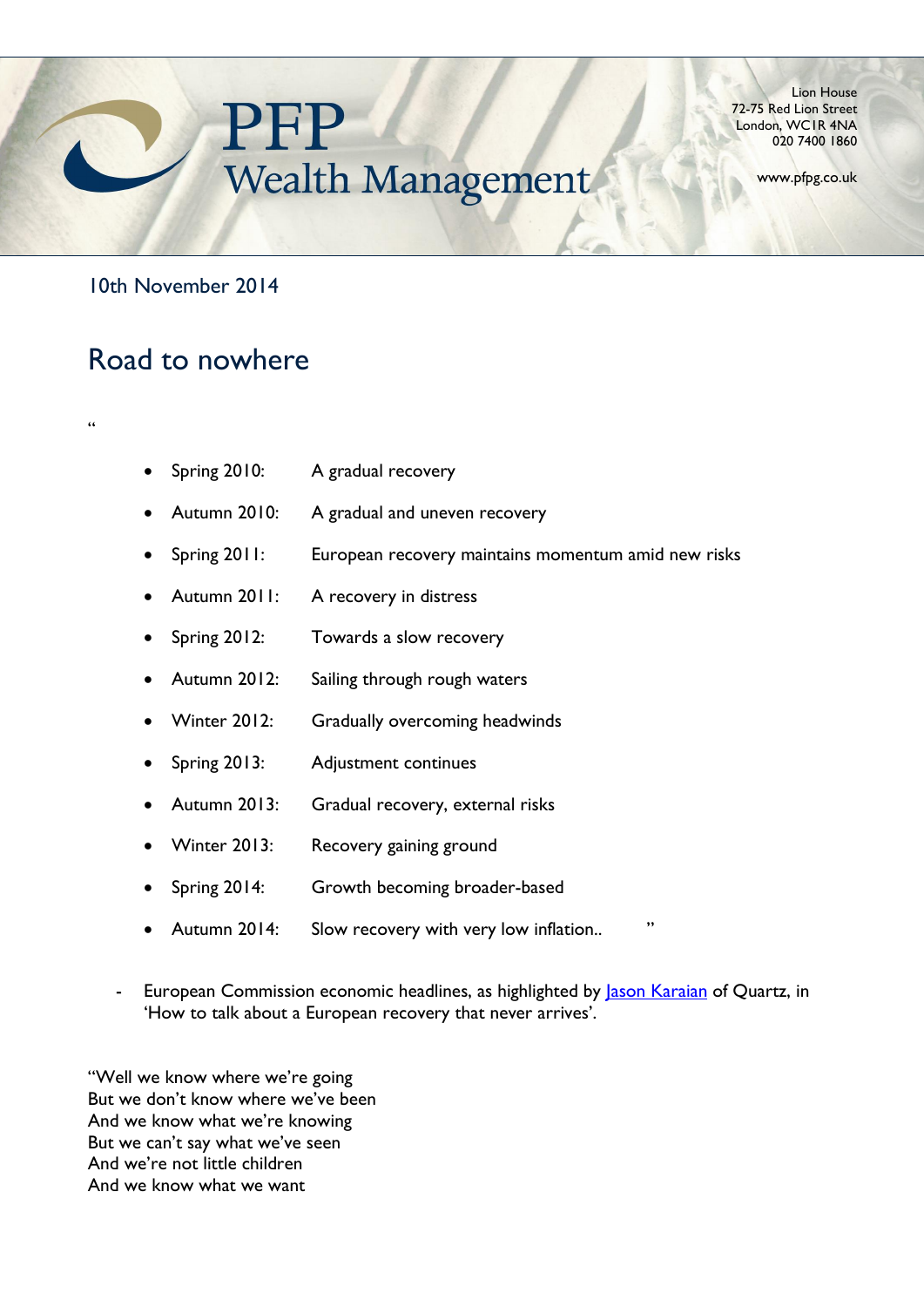

Lion House 72-75 Red Lion Street London, WC1R 4NA 020 7400 1860

www.pfpg.co.uk

10th November 2014

## Road to nowhere

- $"$
- Spring 2010: A gradual recovery
- Autumn 2010: A gradual and uneven recovery
- Spring 2011: European recovery maintains momentum amid new risks
- Autumn 2011: A recovery in distress
- Spring 2012: Towards a slow recovery
- Autumn 2012: Sailing through rough waters
- Winter 2012: Gradually overcoming headwinds
- Spring 2013: Adjustment continues
- Autumn 2013: Gradual recovery, external risks
- Winter 2013: Recovery gaining ground
- Spring 2014: Growth becoming broader-based
- Autumn 2014: Slow recovery with very low inflation..
- European Commission economic headlines, as highlighted by **Jason Karaian** of Quartz, in 'How to talk about a European recovery that never arrives'.

"Well we know where we're going But we don't know where we've been And we know what we're knowing But we can't say what we've seen And we're not little children And we know what we want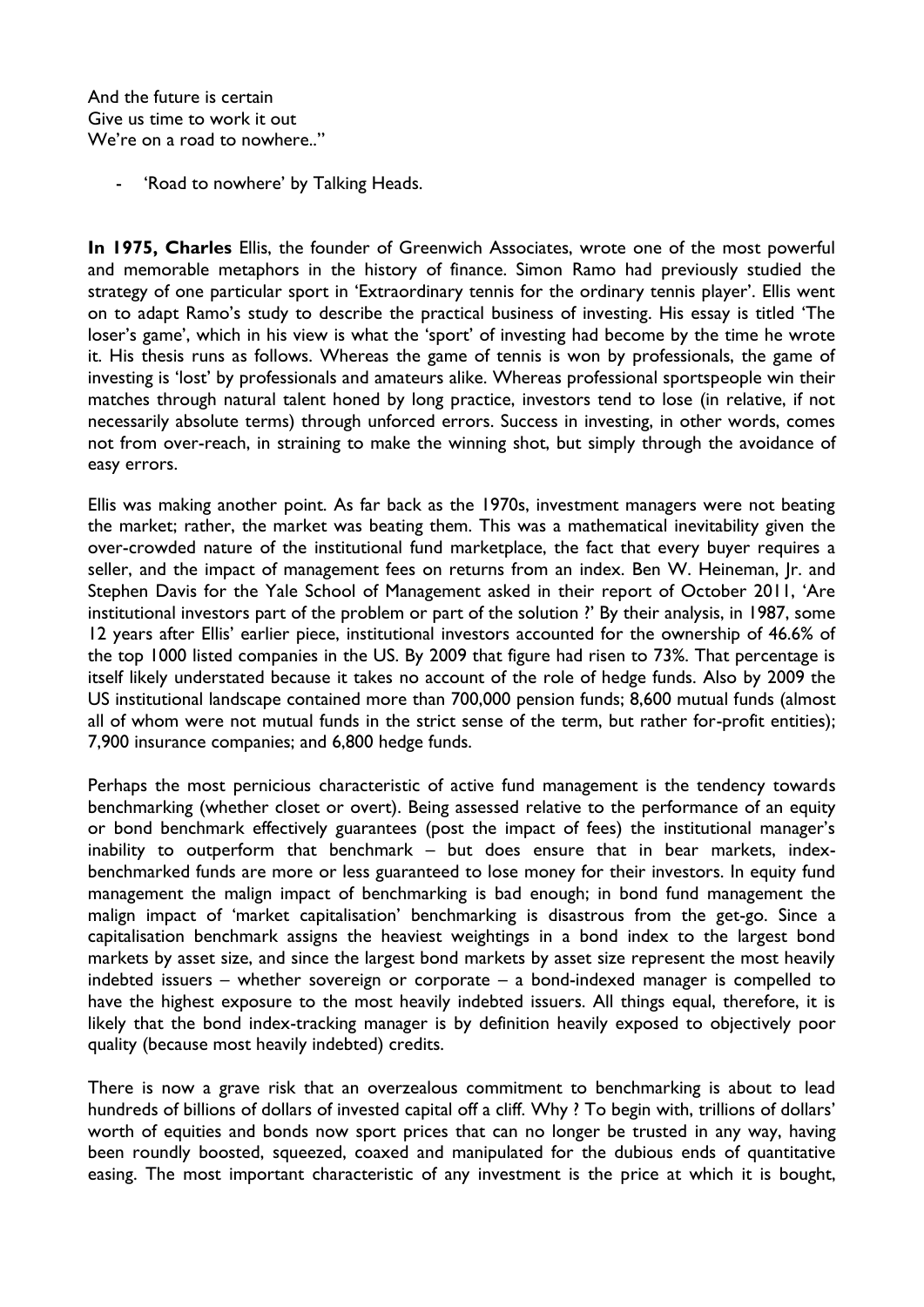And the future is certain Give us time to work it out We're on a road to nowhere.."

- 'Road to nowhere' by Talking Heads.

**In 1975, Charles** Ellis, the founder of Greenwich Associates, wrote one of the most powerful and memorable metaphors in the history of finance. Simon Ramo had previously studied the strategy of one particular sport in 'Extraordinary tennis for the ordinary tennis player'. Ellis went on to adapt Ramo's study to describe the practical business of investing. His essay is titled 'The loser's game', which in his view is what the 'sport' of investing had become by the time he wrote it. His thesis runs as follows. Whereas the game of tennis is won by professionals, the game of investing is 'lost' by professionals and amateurs alike. Whereas professional sportspeople win their matches through natural talent honed by long practice, investors tend to lose (in relative, if not necessarily absolute terms) through unforced errors. Success in investing, in other words, comes not from over-reach, in straining to make the winning shot, but simply through the avoidance of easy errors.

Ellis was making another point. As far back as the 1970s, investment managers were not beating the market; rather, the market was beating them. This was a mathematical inevitability given the over-crowded nature of the institutional fund marketplace, the fact that every buyer requires a seller, and the impact of management fees on returns from an index. Ben W. Heineman, Ir. and Stephen Davis for the Yale School of Management asked in their report of October 2011, 'Are institutional investors part of the problem or part of the solution ?' By their analysis, in 1987, some 12 years after Ellis' earlier piece, institutional investors accounted for the ownership of 46.6% of the top 1000 listed companies in the US. By 2009 that figure had risen to 73%. That percentage is itself likely understated because it takes no account of the role of hedge funds. Also by 2009 the US institutional landscape contained more than 700,000 pension funds; 8,600 mutual funds (almost all of whom were not mutual funds in the strict sense of the term, but rather for-profit entities); 7,900 insurance companies; and 6,800 hedge funds.

Perhaps the most pernicious characteristic of active fund management is the tendency towards benchmarking (whether closet or overt). Being assessed relative to the performance of an equity or bond benchmark effectively guarantees (post the impact of fees) the institutional manager's inability to outperform that benchmark – but does ensure that in bear markets, indexbenchmarked funds are more or less guaranteed to lose money for their investors. In equity fund management the malign impact of benchmarking is bad enough; in bond fund management the malign impact of 'market capitalisation' benchmarking is disastrous from the get-go. Since a capitalisation benchmark assigns the heaviest weightings in a bond index to the largest bond markets by asset size, and since the largest bond markets by asset size represent the most heavily indebted issuers – whether sovereign or corporate – a bond-indexed manager is compelled to have the highest exposure to the most heavily indebted issuers. All things equal, therefore, it is likely that the bond index-tracking manager is by definition heavily exposed to objectively poor quality (because most heavily indebted) credits.

There is now a grave risk that an overzealous commitment to benchmarking is about to lead hundreds of billions of dollars of invested capital off a cliff. Why ? To begin with, trillions of dollars' worth of equities and bonds now sport prices that can no longer be trusted in any way, having been roundly boosted, squeezed, coaxed and manipulated for the dubious ends of quantitative easing. The most important characteristic of any investment is the price at which it is bought,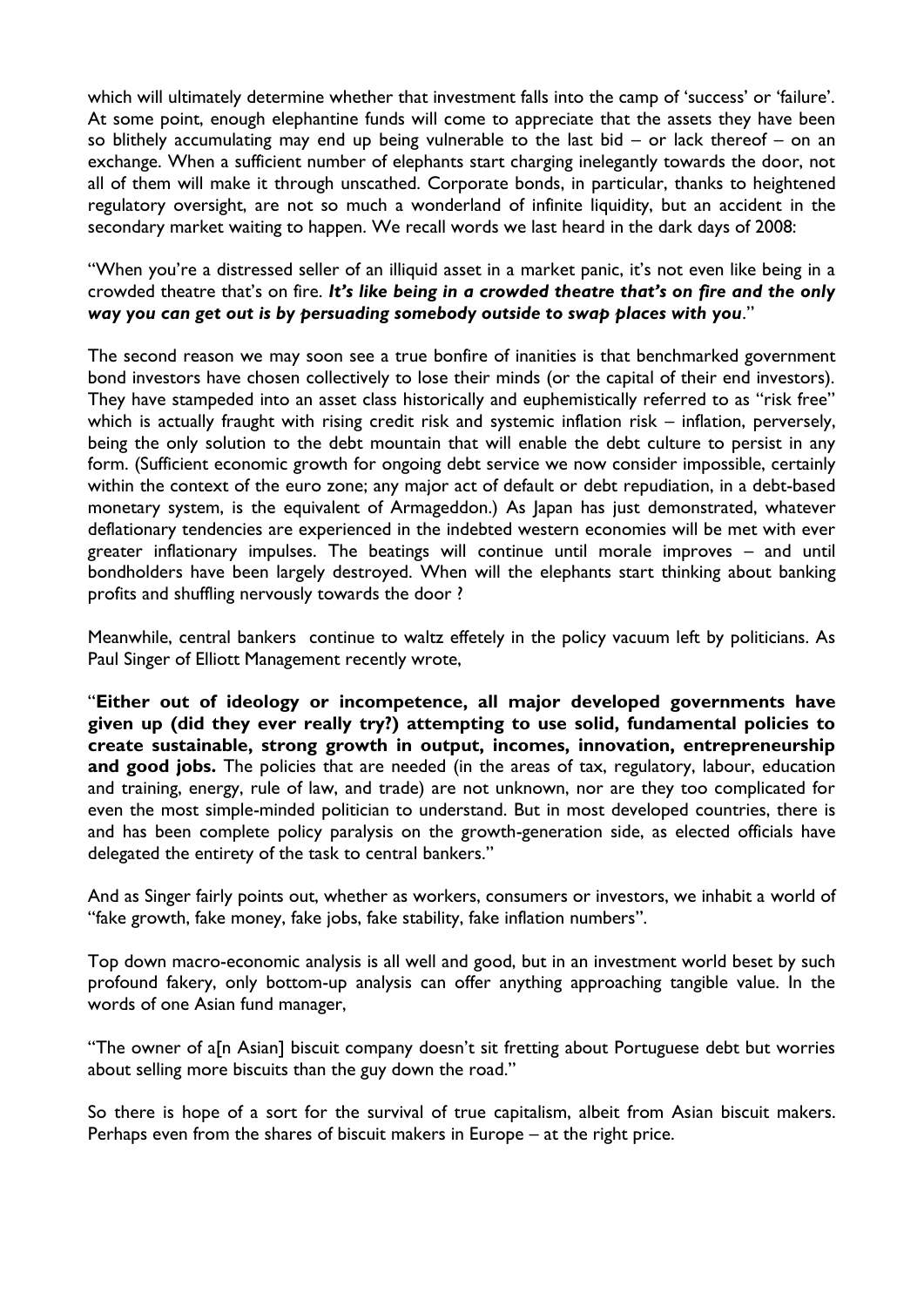which will ultimately determine whether that investment falls into the camp of 'success' or 'failure'. At some point, enough elephantine funds will come to appreciate that the assets they have been so blithely accumulating may end up being vulnerable to the last bid  $-$  or lack thereof  $-$  on an exchange. When a sufficient number of elephants start charging inelegantly towards the door, not all of them will make it through unscathed. Corporate bonds, in particular, thanks to heightened regulatory oversight, are not so much a wonderland of infinite liquidity, but an accident in the secondary market waiting to happen. We recall words we last heard in the dark days of 2008:

"When you're a distressed seller of an illiquid asset in a market panic, it's not even like being in a crowded theatre that's on fire. *It's like being in a crowded theatre that's on fire and the only way you can get out is by persuading somebody outside to swap places with you*."

The second reason we may soon see a true bonfire of inanities is that benchmarked government bond investors have chosen collectively to lose their minds (or the capital of their end investors). They have stampeded into an asset class historically and euphemistically referred to as "risk free" which is actually fraught with rising credit risk and systemic inflation risk – inflation, perversely, being the only solution to the debt mountain that will enable the debt culture to persist in any form. (Sufficient economic growth for ongoing debt service we now consider impossible, certainly within the context of the euro zone; any major act of default or debt repudiation, in a debt-based monetary system, is the equivalent of Armageddon.) As Japan has just demonstrated, whatever deflationary tendencies are experienced in the indebted western economies will be met with ever greater inflationary impulses. The beatings will continue until morale improves – and until bondholders have been largely destroyed. When will the elephants start thinking about banking profits and shuffling nervously towards the door ?

Meanwhile, central bankers continue to waltz effetely in the policy vacuum left by politicians. As Paul Singer of Elliott Management recently wrote,

"**Either out of ideology or incompetence, all major developed governments have given up (did they ever really try?) attempting to use solid, fundamental policies to create sustainable, strong growth in output, incomes, innovation, entrepreneurship and good jobs.** The policies that are needed (in the areas of tax, regulatory, labour, education and training, energy, rule of law, and trade) are not unknown, nor are they too complicated for even the most simple-minded politician to understand. But in most developed countries, there is and has been complete policy paralysis on the growth-generation side, as elected officials have delegated the entirety of the task to central bankers."

And as Singer fairly points out, whether as workers, consumers or investors, we inhabit a world of "fake growth, fake money, fake jobs, fake stability, fake inflation numbers".

Top down macro-economic analysis is all well and good, but in an investment world beset by such profound fakery, only bottom-up analysis can offer anything approaching tangible value. In the words of one Asian fund manager,

"The owner of a[n Asian] biscuit company doesn't sit fretting about Portuguese debt but worries about selling more biscuits than the guy down the road."

So there is hope of a sort for the survival of true capitalism, albeit from Asian biscuit makers. Perhaps even from the shares of biscuit makers in Europe – at the right price.